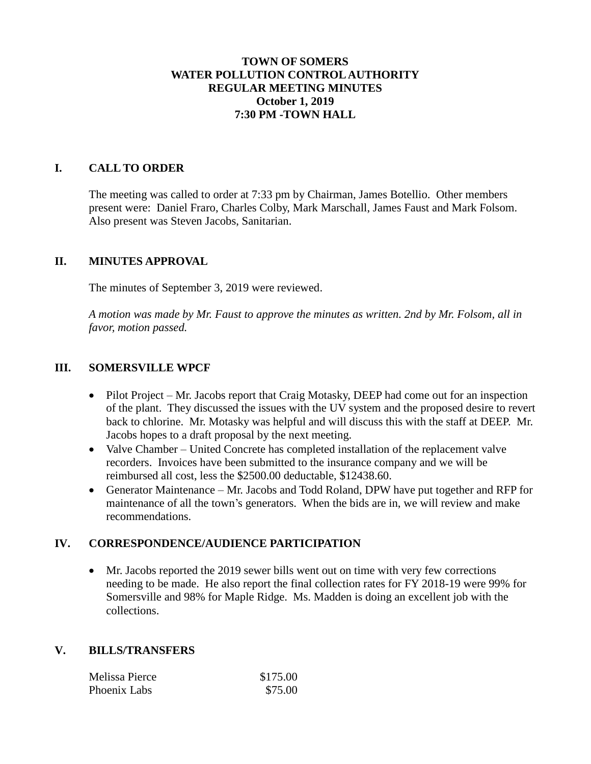## **TOWN OF SOMERS WATER POLLUTION CONTROL AUTHORITY REGULAR MEETING MINUTES October 1, 2019 7:30 PM -TOWN HALL**

## **I. CALL TO ORDER**

The meeting was called to order at 7:33 pm by Chairman, James Botellio. Other members present were: Daniel Fraro, Charles Colby, Mark Marschall, James Faust and Mark Folsom. Also present was Steven Jacobs, Sanitarian.

#### **II. MINUTES APPROVAL**

The minutes of September 3, 2019 were reviewed.

*A motion was made by Mr. Faust to approve the minutes as written. 2nd by Mr. Folsom, all in favor, motion passed.*

#### **III. SOMERSVILLE WPCF**

- Pilot Project Mr. Jacobs report that Craig Motasky, DEEP had come out for an inspection of the plant. They discussed the issues with the UV system and the proposed desire to revert back to chlorine. Mr. Motasky was helpful and will discuss this with the staff at DEEP. Mr. Jacobs hopes to a draft proposal by the next meeting.
- Valve Chamber United Concrete has completed installation of the replacement valve recorders. Invoices have been submitted to the insurance company and we will be reimbursed all cost, less the \$2500.00 deductable, \$12438.60.
- Generator Maintenance Mr. Jacobs and Todd Roland, DPW have put together and RFP for maintenance of all the town's generators. When the bids are in, we will review and make recommendations.

#### **IV. CORRESPONDENCE/AUDIENCE PARTICIPATION**

 Mr. Jacobs reported the 2019 sewer bills went out on time with very few corrections needing to be made. He also report the final collection rates for FY 2018-19 were 99% for Somersville and 98% for Maple Ridge. Ms. Madden is doing an excellent job with the collections.

#### **V. BILLS/TRANSFERS**

| Melissa Pierce | \$175.00 |
|----------------|----------|
| Phoenix Labs   | \$75.00  |